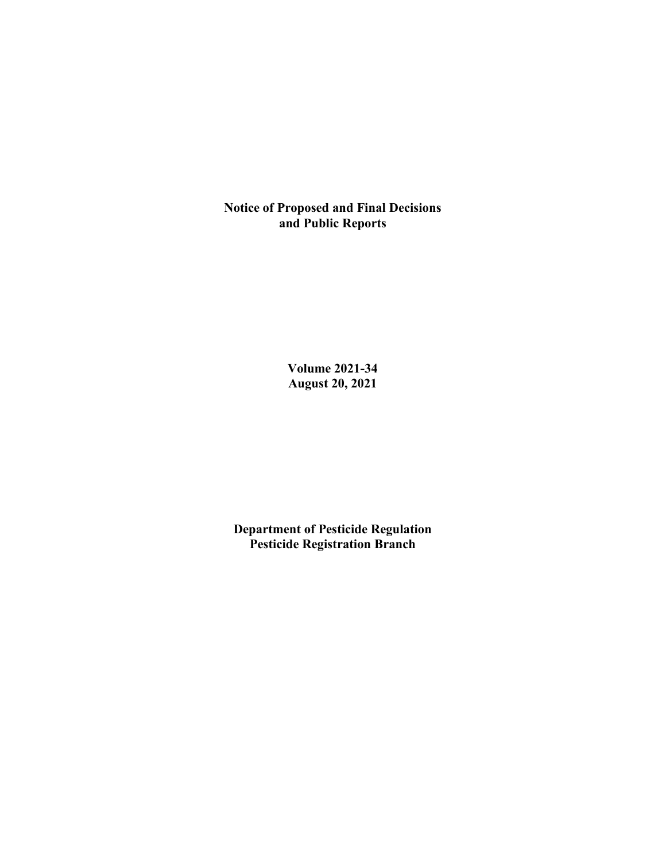**Notice of Proposed and Final Decisions and Public Reports**

> **Volume 2021-34 August 20, 2021**

**Department of Pesticide Regulation Pesticide Registration Branch**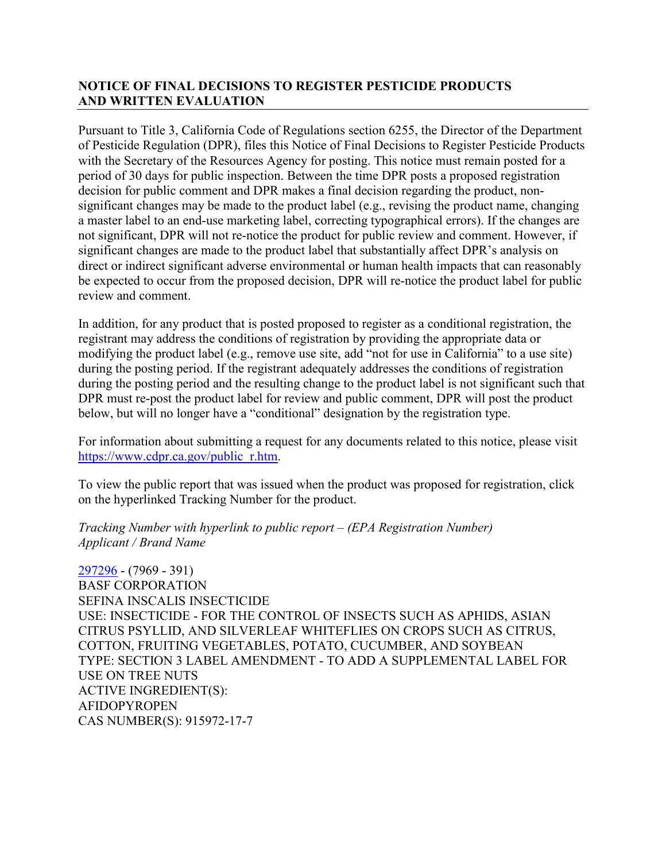## **NOTICE OF FINAL DECISIONS TO REGISTER PESTICIDE PRODUCTS AND WRITTEN EVALUATION**

Pursuant to Title 3, California Code of Regulations section 6255, the Director of the Department of Pesticide Regulation (DPR), files this Notice of Final Decisions to Register Pesticide Products with the Secretary of the Resources Agency for posting. This notice must remain posted for a period of 30 days for public inspection. Between the time DPR posts a proposed registration decision for public comment and DPR makes a final decision regarding the product, nonsignificant changes may be made to the product label (e.g., revising the product name, changing a master label to an end-use marketing label, correcting typographical errors). If the changes are not significant, DPR will not re-notice the product for public review and comment. However, if significant changes are made to the product label that substantially affect DPR's analysis on direct or indirect significant adverse environmental or human health impacts that can reasonably be expected to occur from the proposed decision, DPR will re-notice the product label for public review and comment.

In addition, for any product that is posted proposed to register as a conditional registration, the registrant may address the conditions of registration by providing the appropriate data or modifying the product label (e.g., remove use site, add "not for use in California" to a use site) during the posting period. If the registrant adequately addresses the conditions of registration during the posting period and the resulting change to the product label is not significant such that DPR must re-post the product label for review and public comment, DPR will post the product below, but will no longer have a "conditional" designation by the registration type.

For information about submitting a request for any documents related to this notice, please visit [https://www.cdpr.ca.gov/public\\_r.htm.](https://www.cdpr.ca.gov/public_r.htm)

To view the public report that was issued when the product was proposed for registration, click on the hyperlinked Tracking Number for the product.

*Tracking Number with hyperlink to public report – (EPA Registration Number) Applicant / Brand Name*

[297296](https://www.cdpr.ca.gov/docs/registration/nod/public_reports/297296.pdf) - (7969 - 391) BASF CORPORATION SEFINA INSCALIS INSECTICIDE USE: INSECTICIDE - FOR THE CONTROL OF INSECTS SUCH AS APHIDS, ASIAN CITRUS PSYLLID, AND SILVERLEAF WHITEFLIES ON CROPS SUCH AS CITRUS, COTTON, FRUITING VEGETABLES, POTATO, CUCUMBER, AND SOYBEAN TYPE: SECTION 3 LABEL AMENDMENT - TO ADD A SUPPLEMENTAL LABEL FOR USE ON TREE NUTS ACTIVE INGREDIENT(S): AFIDOPYROPEN CAS NUMBER(S): 915972-17-7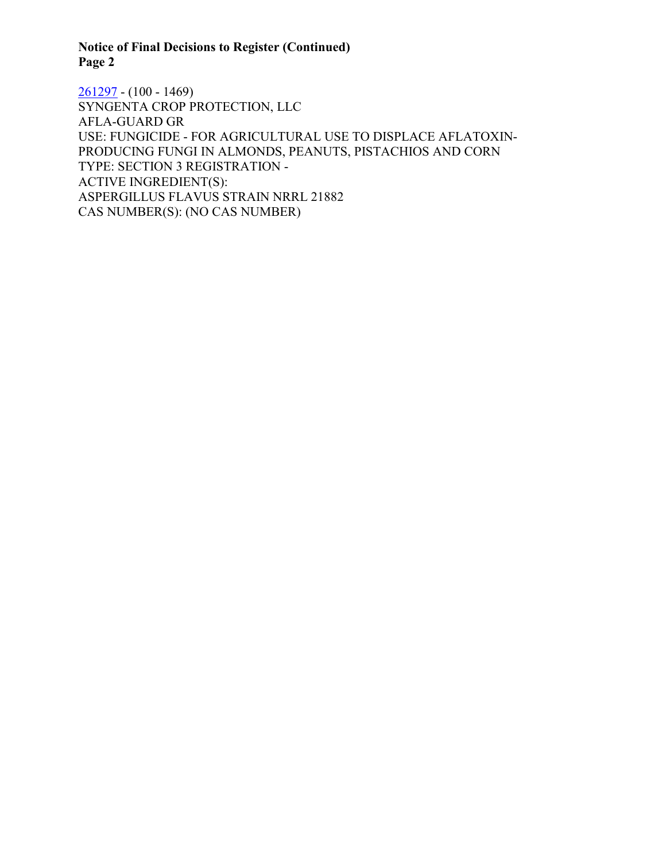# **Notice of Final Decisions to Register (Continued) Page 2**

[261297](https://www.cdpr.ca.gov/docs/registration/nod/public_reports/261297.pdf) - (100 - 1469) SYNGENTA CROP PROTECTION, LLC AFLA-GUARD GR USE: FUNGICIDE - FOR AGRICULTURAL USE TO DISPLACE AFLATOXIN-PRODUCING FUNGI IN ALMONDS, PEANUTS, PISTACHIOS AND CORN TYPE: SECTION 3 REGISTRATION - ACTIVE INGREDIENT(S): ASPERGILLUS FLAVUS STRAIN NRRL 21882 CAS NUMBER(S): (NO CAS NUMBER)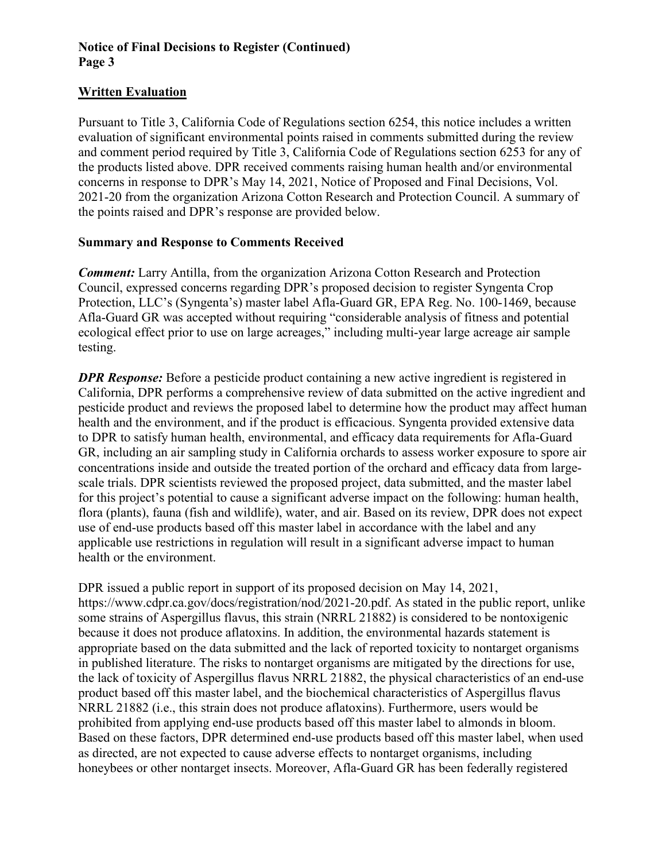### **Notice of Final Decisions to Register (Continued) Page 3**

### **Written Evaluation**

Pursuant to Title 3, California Code of Regulations section 6254, this notice includes a written evaluation of significant environmental points raised in comments submitted during the review and comment period required by Title 3, California Code of Regulations section 6253 for any of the products listed above. DPR received comments raising human health and/or environmental concerns in response to DPR's May 14, 2021, Notice of Proposed and Final Decisions, Vol. 2021-20 from the organization Arizona Cotton Research and Protection Council. A summary of the points raised and DPR's response are provided below.

#### **Summary and Response to Comments Received**

*Comment:* Larry Antilla, from the organization Arizona Cotton Research and Protection Council, expressed concerns regarding DPR's proposed decision to register Syngenta Crop Protection, LLC's (Syngenta's) master label Afla-Guard GR, EPA Reg. No. 100-1469, because Afla-Guard GR was accepted without requiring "considerable analysis of fitness and potential ecological effect prior to use on large acreages," including multi-year large acreage air sample testing.

*DPR Response:* Before a pesticide product containing a new active ingredient is registered in California, DPR performs a comprehensive review of data submitted on the active ingredient and pesticide product and reviews the proposed label to determine how the product may affect human health and the environment, and if the product is efficacious. Syngenta provided extensive data to DPR to satisfy human health, environmental, and efficacy data requirements for Afla-Guard GR, including an air sampling study in California orchards to assess worker exposure to spore air concentrations inside and outside the treated portion of the orchard and efficacy data from largescale trials. DPR scientists reviewed the proposed project, data submitted, and the master label for this project's potential to cause a significant adverse impact on the following: human health, flora (plants), fauna (fish and wildlife), water, and air. Based on its review, DPR does not expect use of end-use products based off this master label in accordance with the label and any applicable use restrictions in regulation will result in a significant adverse impact to human health or the environment.

DPR issued a public report in support of its proposed decision on May 14, 2021, https://www.cdpr.ca.gov/docs/registration/nod/2021-20.pdf. As stated in the public report, unlike some strains of Aspergillus flavus, this strain (NRRL 21882) is considered to be nontoxigenic because it does not produce aflatoxins. In addition, the environmental hazards statement is appropriate based on the data submitted and the lack of reported toxicity to nontarget organisms in published literature. The risks to nontarget organisms are mitigated by the directions for use, the lack of toxicity of Aspergillus flavus NRRL 21882, the physical characteristics of an end-use product based off this master label, and the biochemical characteristics of Aspergillus flavus NRRL 21882 (i.e., this strain does not produce aflatoxins). Furthermore, users would be prohibited from applying end-use products based off this master label to almonds in bloom. Based on these factors, DPR determined end-use products based off this master label, when used as directed, are not expected to cause adverse effects to nontarget organisms, including honeybees or other nontarget insects. Moreover, Afla-Guard GR has been federally registered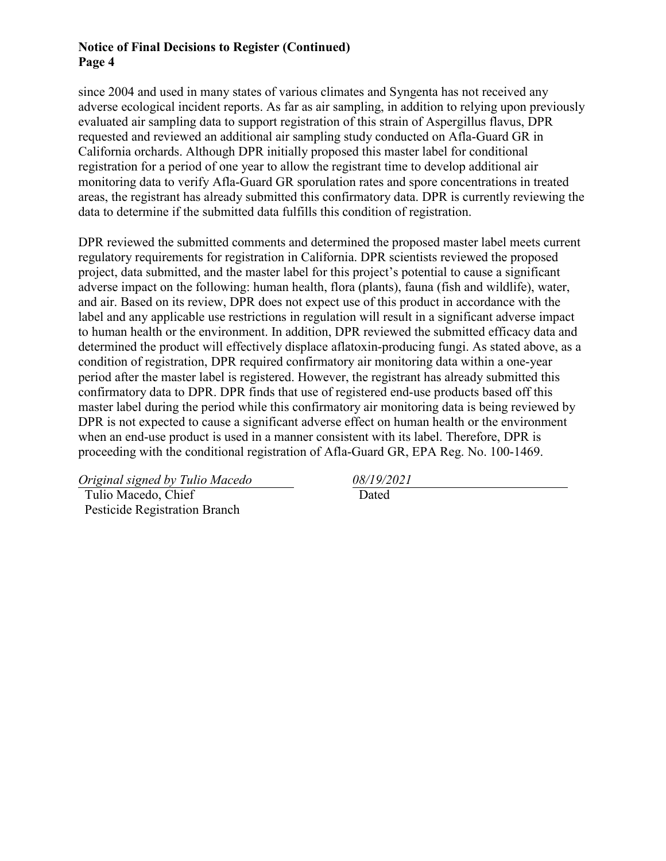#### **Notice of Final Decisions to Register (Continued) Page 4**

since 2004 and used in many states of various climates and Syngenta has not received any adverse ecological incident reports. As far as air sampling, in addition to relying upon previously evaluated air sampling data to support registration of this strain of Aspergillus flavus, DPR requested and reviewed an additional air sampling study conducted on Afla-Guard GR in California orchards. Although DPR initially proposed this master label for conditional registration for a period of one year to allow the registrant time to develop additional air monitoring data to verify Afla-Guard GR sporulation rates and spore concentrations in treated areas, the registrant has already submitted this confirmatory data. DPR is currently reviewing the data to determine if the submitted data fulfills this condition of registration.

DPR reviewed the submitted comments and determined the proposed master label meets current regulatory requirements for registration in California. DPR scientists reviewed the proposed project, data submitted, and the master label for this project's potential to cause a significant adverse impact on the following: human health, flora (plants), fauna (fish and wildlife), water, and air. Based on its review, DPR does not expect use of this product in accordance with the label and any applicable use restrictions in regulation will result in a significant adverse impact to human health or the environment. In addition, DPR reviewed the submitted efficacy data and determined the product will effectively displace aflatoxin-producing fungi. As stated above, as a condition of registration, DPR required confirmatory air monitoring data within a one-year period after the master label is registered. However, the registrant has already submitted this confirmatory data to DPR. DPR finds that use of registered end-use products based off this master label during the period while this confirmatory air monitoring data is being reviewed by DPR is not expected to cause a significant adverse effect on human health or the environment when an end-use product is used in a manner consistent with its label. Therefore, DPR is proceeding with the conditional registration of Afla-Guard GR, EPA Reg. No. 100-1469.

*Original signed by Tulio Macedo 08/19/2021*

 Tulio Macedo, Chief Pesticide Registration Branch

Dated